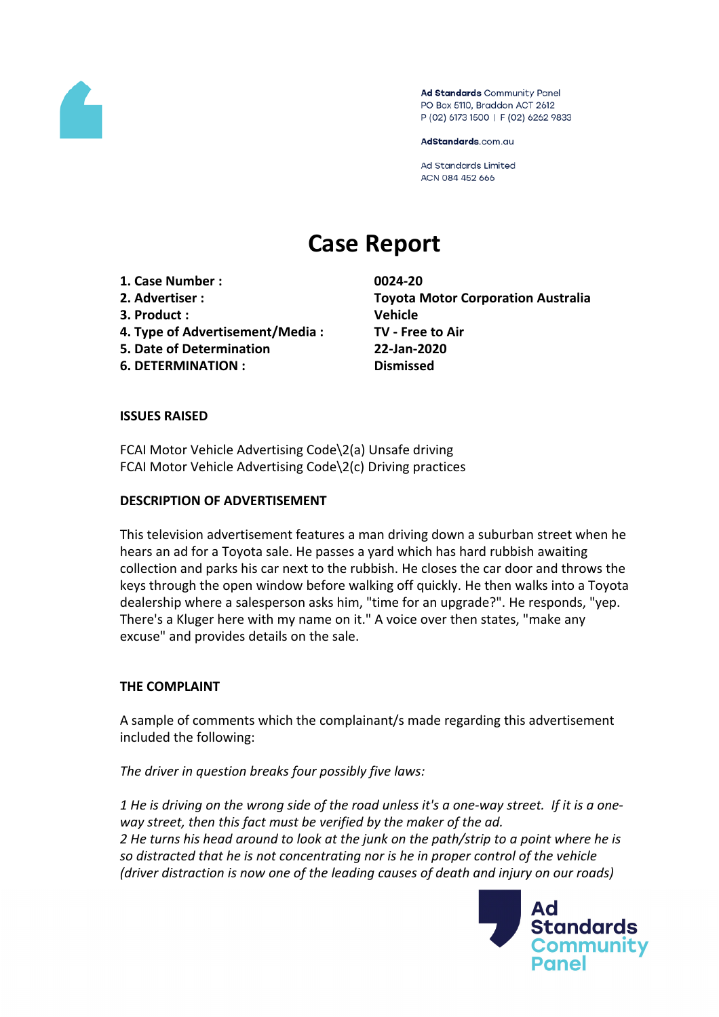

Ad Standards Community Panel PO Box 5110, Braddon ACT 2612 P (02) 6173 1500 | F (02) 6262 9833

AdStandards.com.au

**Ad Standards Limited** ACN 084 452 666

# **Case Report**

- **1. Case Number : 0024-20**
- 
- **3. Product : Vehicle**
- **4. Type of Advertisement/Media : TV - Free to Air**
- **5. Date of Determination 22-Jan-2020**
- **6. DETERMINATION : Dismissed**

**2. Advertiser : Toyota Motor Corporation Australia**

# **ISSUES RAISED**

FCAI Motor Vehicle Advertising Code\2(a) Unsafe driving FCAI Motor Vehicle Advertising Code\2(c) Driving practices

#### **DESCRIPTION OF ADVERTISEMENT**

This television advertisement features a man driving down a suburban street when he hears an ad for a Toyota sale. He passes a yard which has hard rubbish awaiting collection and parks his car next to the rubbish. He closes the car door and throws the keys through the open window before walking off quickly. He then walks into a Toyota dealership where a salesperson asks him, "time for an upgrade?". He responds, "yep. There's a Kluger here with my name on it." A voice over then states, "make any excuse" and provides details on the sale.

# **THE COMPLAINT**

A sample of comments which the complainant/s made regarding this advertisement included the following:

*The driver in question breaks four possibly five laws:*

1 He is driving on the wrong side of the road unless it's a one-way street. If it is a one*way street, then this fact must be verified by the maker of the ad.* 2 He turns his head around to look at the junk on the path/strip to a point where he is *so distracted that he is not concentrating nor is he in proper control of the vehicle (driver distraction is now one of the leading causes of death and injury on our roads)*

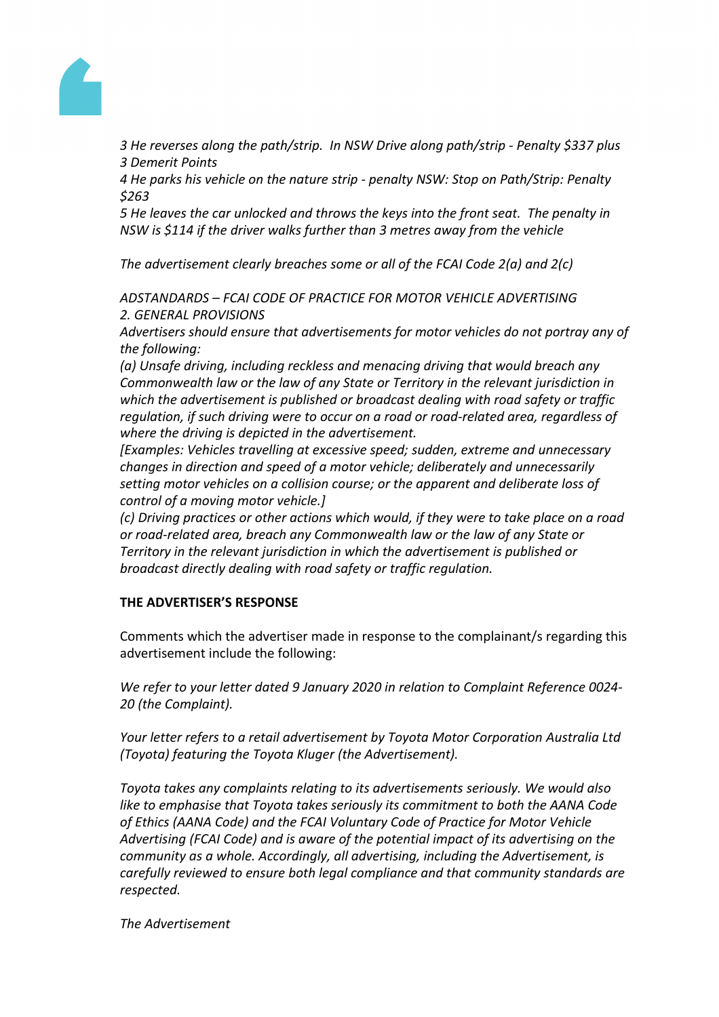

*3 He reverses along the path/strip. In NSW Drive along path/strip - Penalty \$337 plus 3 Demerit Points*

*4 He parks his vehicle on the nature strip - penalty NSW: Stop on Path/Strip: Penalty \$263*

*5 He leaves the car unlocked and throws the keys into the front seat. The penalty in NSW is \$114 if the driver walks further than 3 metres away from the vehicle*

*The advertisement clearly breaches some or all of the FCAI Code 2(a) and 2(c)*

*ADSTANDARDS – FCAI CODE OF PRACTICE FOR MOTOR VEHICLE ADVERTISING 2. GENERAL PROVISIONS*

*Advertisers should ensure that advertisements for motor vehicles do not portray any of the following:*

*(a) Unsafe driving, including reckless and menacing driving that would breach any Commonwealth law or the law of any State or Territory in the relevant jurisdiction in which the advertisement is published or broadcast dealing with road safety or traffic regulation, if such driving were to occur on a road or road-related area, regardless of where the driving is depicted in the advertisement.*

*[Examples: Vehicles travelling at excessive speed; sudden, extreme and unnecessary changes in direction and speed of a motor vehicle; deliberately and unnecessarily setting motor vehicles on a collision course; or the apparent and deliberate loss of control of a moving motor vehicle.]*

*(c) Driving practices or other actions which would, if they were to take place on a road or road-related area, breach any Commonwealth law or the law of any State or Territory in the relevant jurisdiction in which the advertisement is published or broadcast directly dealing with road safety or traffic regulation.*

# **THE ADVERTISER'S RESPONSE**

Comments which the advertiser made in response to the complainant/s regarding this advertisement include the following:

*We refer to your letter dated 9 January 2020 in relation to Complaint Reference 0024- 20 (the Complaint).*

*Your letter refers to a retail advertisement by Toyota Motor Corporation Australia Ltd (Toyota) featuring the Toyota Kluger (the Advertisement).*

*Toyota takes any complaints relating to its advertisements seriously. We would also like to emphasise that Toyota takes seriously its commitment to both the AANA Code of Ethics (AANA Code) and the FCAI Voluntary Code of Practice for Motor Vehicle Advertising (FCAI Code) and is aware of the potential impact of its advertising on the community as a whole. Accordingly, all advertising, including the Advertisement, is carefully reviewed to ensure both legal compliance and that community standards are respected.*

*The Advertisement*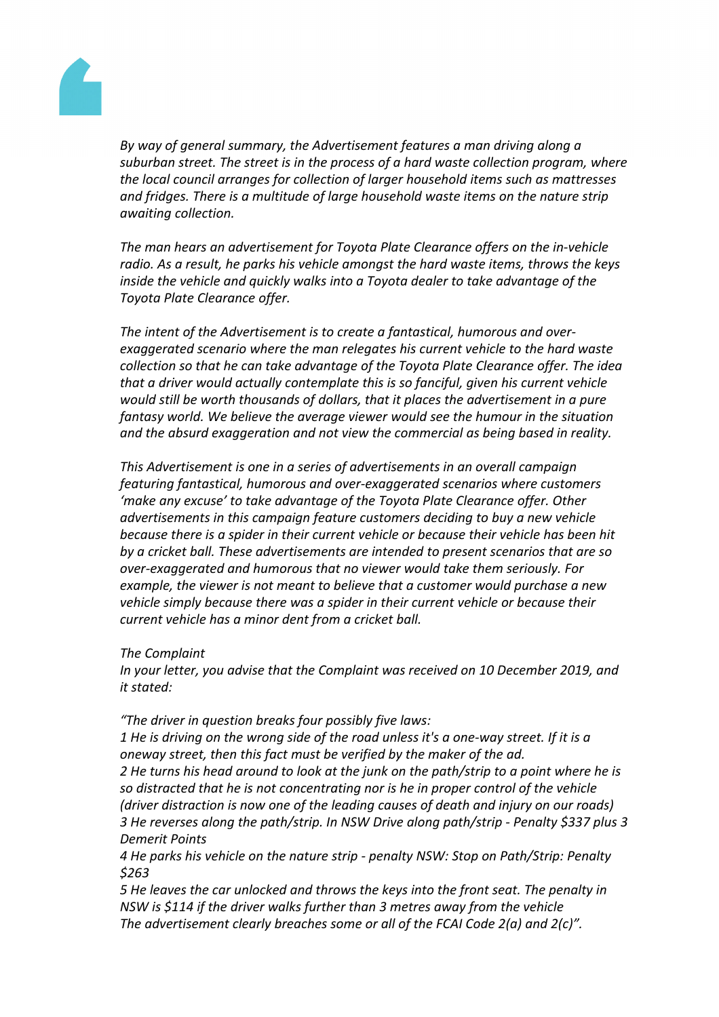

*By way of general summary, the Advertisement features a man driving along a suburban street. The street is in the process of a hard waste collection program, where the local council arranges for collection of larger household items such as mattresses and fridges. There is a multitude of large household waste items on the nature strip awaiting collection.*

*The man hears an advertisement for Toyota Plate Clearance offers on the in-vehicle radio. As a result, he parks his vehicle amongst the hard waste items, throws the keys inside the vehicle and quickly walks into a Toyota dealer to take advantage of the Toyota Plate Clearance offer.*

*The intent of the Advertisement is to create a fantastical, humorous and overexaggerated scenario where the man relegates his current vehicle to the hard waste collection so that he can take advantage of the Toyota Plate Clearance offer. The idea that a driver would actually contemplate this is so fanciful, given his current vehicle would still be worth thousands of dollars, that it places the advertisement in a pure fantasy world. We believe the average viewer would see the humour in the situation and the absurd exaggeration and not view the commercial as being based in reality.*

*This Advertisement is one in a series of advertisements in an overall campaign featuring fantastical, humorous and over-exaggerated scenarios where customers 'make any excuse' to take advantage of the Toyota Plate Clearance offer. Other advertisements in this campaign feature customers deciding to buy a new vehicle because there is a spider in their current vehicle or because their vehicle has been hit by a cricket ball. These advertisements are intended to present scenarios that are so over-exaggerated and humorous that no viewer would take them seriously. For example, the viewer is not meant to believe that a customer would purchase a new vehicle simply because there was a spider in their current vehicle or because their current vehicle has a minor dent from a cricket ball.*

*The Complaint*

*In your letter, you advise that the Complaint was received on 10 December 2019, and it stated:*

*"The driver in question breaks four possibly five laws:*

1 He is driving on the wrong side of the road unless it's a one-way street. If it is a *oneway street, then this fact must be verified by the maker of the ad.*

2 He turns his head around to look at the junk on the path/strip to a point where he is *so distracted that he is not concentrating nor is he in proper control of the vehicle (driver distraction is now one of the leading causes of death and injury on our roads) 3 He reverses along the path/strip. In NSW Drive along path/strip - Penalty \$337 plus 3 Demerit Points*

*4 He parks his vehicle on the nature strip - penalty NSW: Stop on Path/Strip: Penalty \$263*

*5 He leaves the car unlocked and throws the keys into the front seat. The penalty in NSW is \$114 if the driver walks further than 3 metres away from the vehicle The advertisement clearly breaches some or all of the FCAI Code 2(a) and 2(c)".*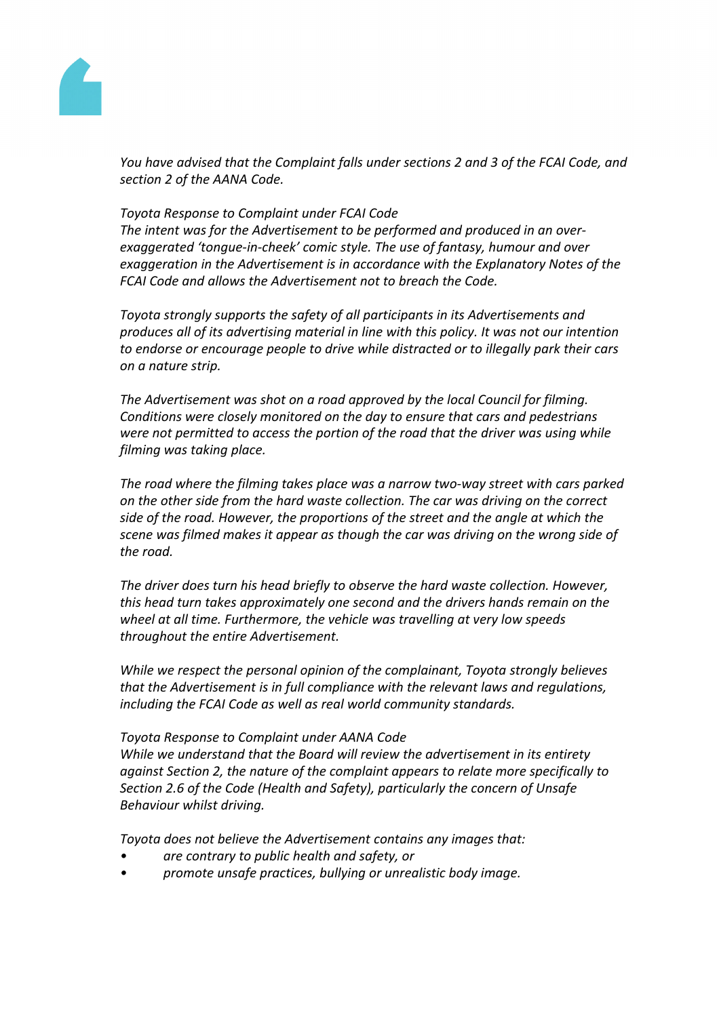

*You have advised that the Complaint falls under sections 2 and 3 of the FCAI Code, and section 2 of the AANA Code.*

### *Toyota Response to Complaint under FCAI Code*

*The intent was for the Advertisement to be performed and produced in an overexaggerated 'tongue-in-cheek' comic style. The use of fantasy, humour and over exaggeration in the Advertisement is in accordance with the Explanatory Notes of the FCAI Code and allows the Advertisement not to breach the Code.*

*Toyota strongly supports the safety of all participants in its Advertisements and produces all of its advertising material in line with this policy. It was not our intention to endorse or encourage people to drive while distracted or to illegally park their cars on a nature strip.*

*The Advertisement was shot on a road approved by the local Council for filming. Conditions were closely monitored on the day to ensure that cars and pedestrians were not permitted to access the portion of the road that the driver was using while filming was taking place.*

*The road where the filming takes place was a narrow two-way street with cars parked on the other side from the hard waste collection. The car was driving on the correct side of the road. However, the proportions of the street and the angle at which the scene was filmed makes it appear as though the car was driving on the wrong side of the road.*

*The driver does turn his head briefly to observe the hard waste collection. However, this head turn takes approximately one second and the drivers hands remain on the wheel at all time. Furthermore, the vehicle was travelling at very low speeds throughout the entire Advertisement.*

*While we respect the personal opinion of the complainant, Toyota strongly believes that the Advertisement is in full compliance with the relevant laws and regulations, including the FCAI Code as well as real world community standards.*

#### *Toyota Response to Complaint under AANA Code*

*While we understand that the Board will review the advertisement in its entirety against Section 2, the nature of the complaint appears to relate more specifically to Section 2.6 of the Code (Health and Safety), particularly the concern of Unsafe Behaviour whilst driving.*

*Toyota does not believe the Advertisement contains any images that:*

- *• are contrary to public health and safety, or*
- *• promote unsafe practices, bullying or unrealistic body image.*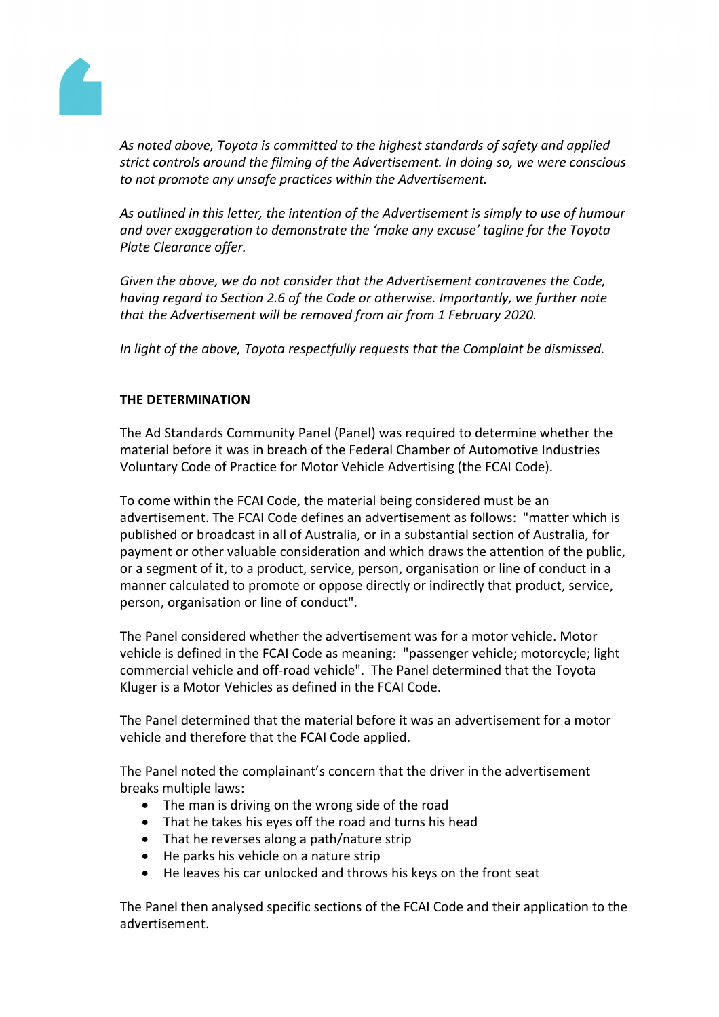

*As noted above, Toyota is committed to the highest standards of safety and applied strict controls around the filming of the Advertisement. In doing so, we were conscious to not promote any unsafe practices within the Advertisement.*

*As outlined in this letter, the intention of the Advertisement is simply to use of humour and over exaggeration to demonstrate the 'make any excuse' tagline for the Toyota Plate Clearance offer.*

*Given the above, we do not consider that the Advertisement contravenes the Code, having regard to Section 2.6 of the Code or otherwise. Importantly, we further note that the Advertisement will be removed from air from 1 February 2020.*

*In light of the above, Toyota respectfully requests that the Complaint be dismissed.*

### **THE DETERMINATION**

The Ad Standards Community Panel (Panel) was required to determine whether the material before it was in breach of the Federal Chamber of Automotive Industries Voluntary Code of Practice for Motor Vehicle Advertising (the FCAI Code).

To come within the FCAI Code, the material being considered must be an advertisement. The FCAI Code defines an advertisement as follows: "matter which is published or broadcast in all of Australia, or in a substantial section of Australia, for payment or other valuable consideration and which draws the attention of the public, or a segment of it, to a product, service, person, organisation or line of conduct in a manner calculated to promote or oppose directly or indirectly that product, service, person, organisation or line of conduct".

The Panel considered whether the advertisement was for a motor vehicle. Motor vehicle is defined in the FCAI Code as meaning: "passenger vehicle; motorcycle; light commercial vehicle and off-road vehicle". The Panel determined that the Toyota Kluger is a Motor Vehicles as defined in the FCAI Code.

The Panel determined that the material before it was an advertisement for a motor vehicle and therefore that the FCAI Code applied.

The Panel noted the complainant's concern that the driver in the advertisement breaks multiple laws:

- The man is driving on the wrong side of the road
- That he takes his eyes off the road and turns his head
- That he reverses along a path/nature strip
- He parks his vehicle on a nature strip
- He leaves his car unlocked and throws his keys on the front seat

The Panel then analysed specific sections of the FCAI Code and their application to the advertisement.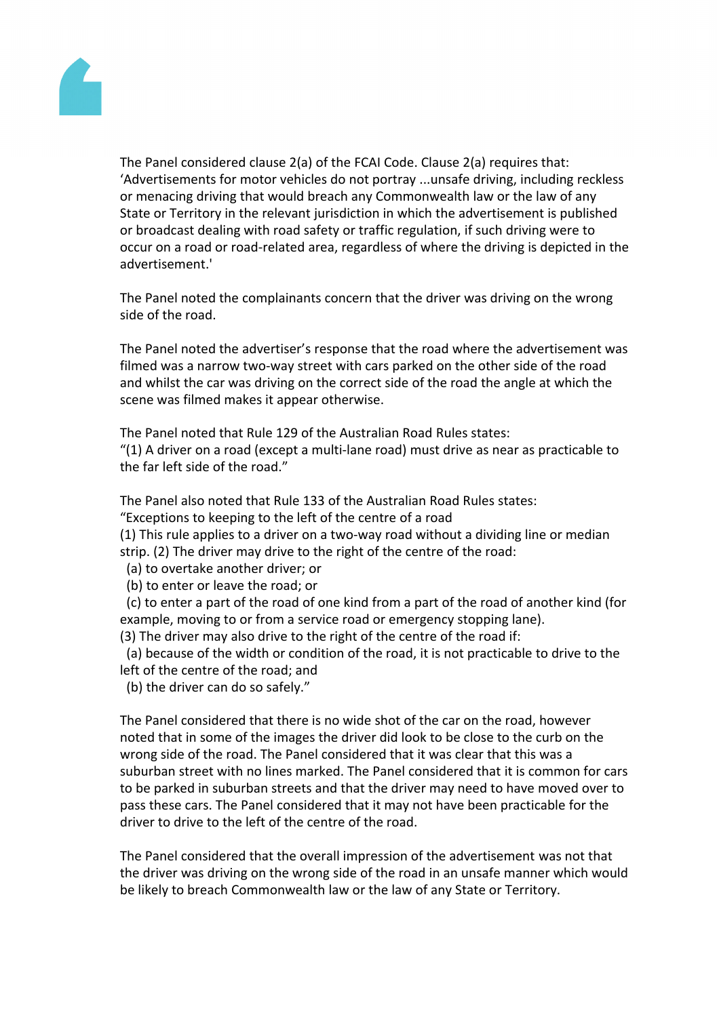

The Panel considered clause 2(a) of the FCAI Code. Clause 2(a) requires that: 'Advertisements for motor vehicles do not portray ...unsafe driving, including reckless or menacing driving that would breach any Commonwealth law or the law of any State or Territory in the relevant jurisdiction in which the advertisement is published or broadcast dealing with road safety or traffic regulation, if such driving were to occur on a road or road-related area, regardless of where the driving is depicted in the advertisement.'

The Panel noted the complainants concern that the driver was driving on the wrong side of the road.

The Panel noted the advertiser's response that the road where the advertisement was filmed was a narrow two-way street with cars parked on the other side of the road and whilst the car was driving on the correct side of the road the angle at which the scene was filmed makes it appear otherwise.

The Panel noted that Rule 129 of the Australian Road Rules states:

"(1) A driver on a road (except a multi-lane road) must drive as near as practicable to the far left side of the road."

The Panel also noted that Rule 133 of the Australian Road Rules states:

"Exceptions to keeping to the left of the centre of a road

(1) This rule applies to a driver on a two-way road without a dividing line or median strip. (2) The driver may drive to the right of the centre of the road:

(a) to overtake another driver; or

(b) to enter or leave the road; or

 (c) to enter a part of the road of one kind from a part of the road of another kind (for example, moving to or from a service road or emergency stopping lane).

(3) The driver may also drive to the right of the centre of the road if:

 (a) because of the width or condition of the road, it is not practicable to drive to the left of the centre of the road; and

(b) the driver can do so safely."

The Panel considered that there is no wide shot of the car on the road, however noted that in some of the images the driver did look to be close to the curb on the wrong side of the road. The Panel considered that it was clear that this was a suburban street with no lines marked. The Panel considered that it is common for cars to be parked in suburban streets and that the driver may need to have moved over to pass these cars. The Panel considered that it may not have been practicable for the driver to drive to the left of the centre of the road.

The Panel considered that the overall impression of the advertisement was not that the driver was driving on the wrong side of the road in an unsafe manner which would be likely to breach Commonwealth law or the law of any State or Territory.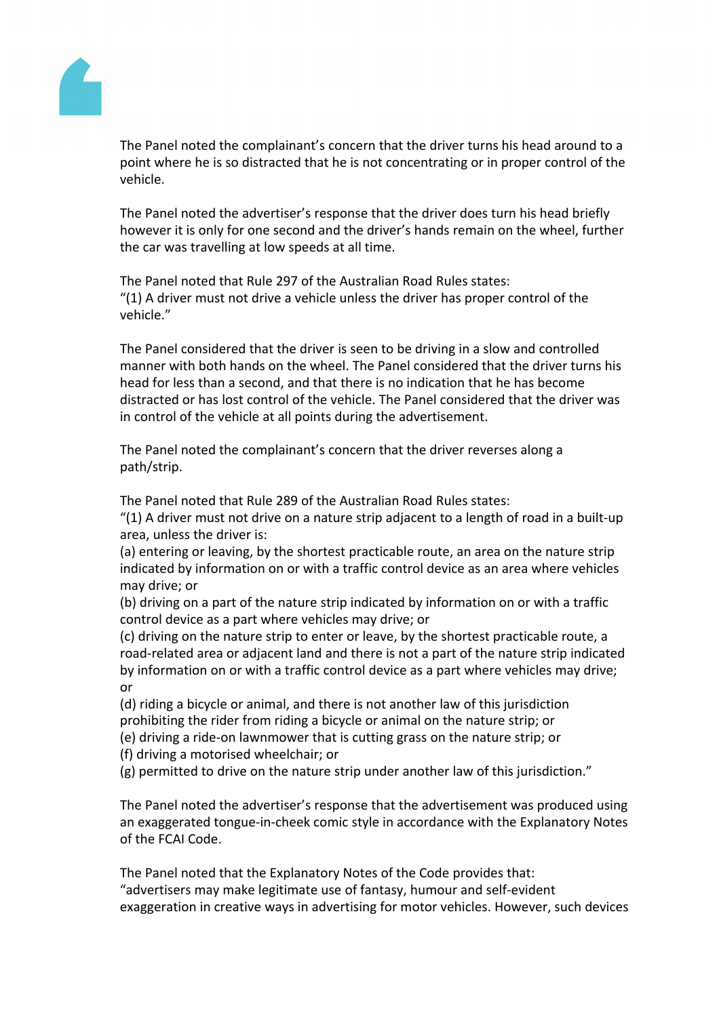

The Panel noted the complainant's concern that the driver turns his head around to a point where he is so distracted that he is not concentrating or in proper control of the vehicle.

The Panel noted the advertiser's response that the driver does turn his head briefly however it is only for one second and the driver's hands remain on the wheel, further the car was travelling at low speeds at all time.

The Panel noted that Rule 297 of the Australian Road Rules states: "(1) A driver must not drive a vehicle unless the driver has proper control of the vehicle."

The Panel considered that the driver is seen to be driving in a slow and controlled manner with both hands on the wheel. The Panel considered that the driver turns his head for less than a second, and that there is no indication that he has become distracted or has lost control of the vehicle. The Panel considered that the driver was in control of the vehicle at all points during the advertisement.

The Panel noted the complainant's concern that the driver reverses along a path/strip.

The Panel noted that Rule 289 of the Australian Road Rules states:

"(1) A driver must not drive on a nature strip adjacent to a length of road in a built-up area, unless the driver is:

(a) entering or leaving, by the shortest practicable route, an area on the nature strip indicated by information on or with a traffic control device as an area where vehicles may drive; or

(b) driving on a part of the nature strip indicated by information on or with a traffic control device as a part where vehicles may drive; or

(c) driving on the nature strip to enter or leave, by the shortest practicable route, a road-related area or adjacent land and there is not a part of the nature strip indicated by information on or with a traffic control device as a part where vehicles may drive; or

(d) riding a bicycle or animal, and there is not another law of this jurisdiction prohibiting the rider from riding a bicycle or animal on the nature strip; or

(e) driving a ride-on lawnmower that is cutting grass on the nature strip; or (f) driving a motorised wheelchair; or

(g) permitted to drive on the nature strip under another law of this jurisdiction."

The Panel noted the advertiser's response that the advertisement was produced using an exaggerated tongue-in-cheek comic style in accordance with the Explanatory Notes of the FCAI Code.

The Panel noted that the Explanatory Notes of the Code provides that: "advertisers may make legitimate use of fantasy, humour and self-evident exaggeration in creative ways in advertising for motor vehicles. However, such devices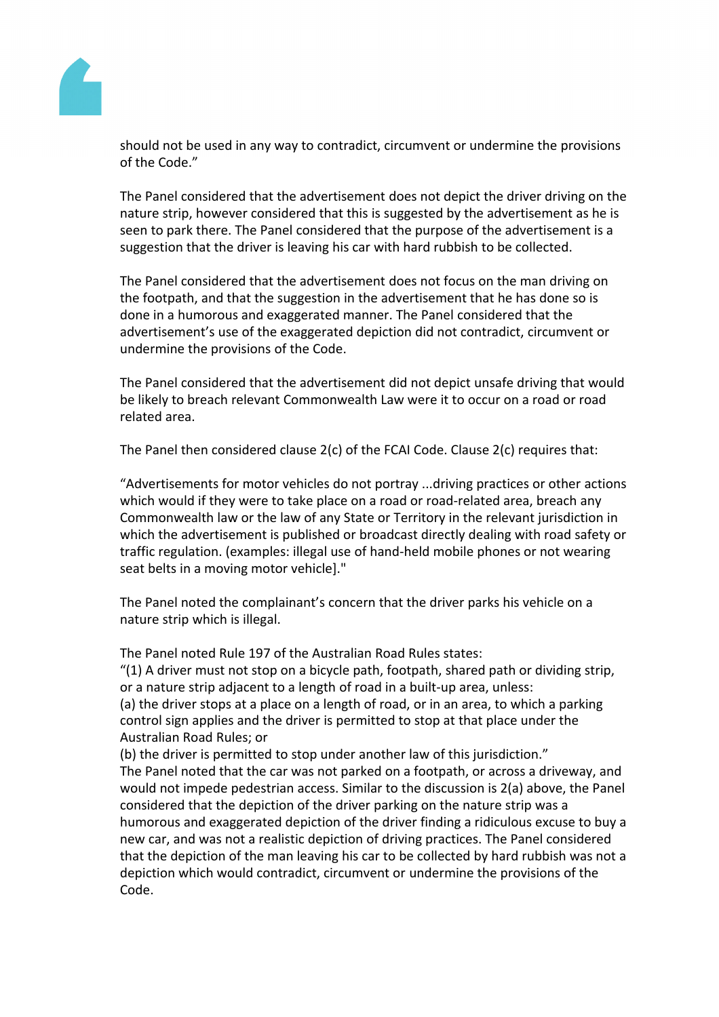

should not be used in any way to contradict, circumvent or undermine the provisions of the Code."

The Panel considered that the advertisement does not depict the driver driving on the nature strip, however considered that this is suggested by the advertisement as he is seen to park there. The Panel considered that the purpose of the advertisement is a suggestion that the driver is leaving his car with hard rubbish to be collected.

The Panel considered that the advertisement does not focus on the man driving on the footpath, and that the suggestion in the advertisement that he has done so is done in a humorous and exaggerated manner. The Panel considered that the advertisement's use of the exaggerated depiction did not contradict, circumvent or undermine the provisions of the Code.

The Panel considered that the advertisement did not depict unsafe driving that would be likely to breach relevant Commonwealth Law were it to occur on a road or road related area.

The Panel then considered clause 2(c) of the FCAI Code. Clause 2(c) requires that:

"Advertisements for motor vehicles do not portray ...driving practices or other actions which would if they were to take place on a road or road-related area, breach any Commonwealth law or the law of any State or Territory in the relevant jurisdiction in which the advertisement is published or broadcast directly dealing with road safety or traffic regulation. (examples: illegal use of hand-held mobile phones or not wearing seat belts in a moving motor vehicle]."

The Panel noted the complainant's concern that the driver parks his vehicle on a nature strip which is illegal.

The Panel noted Rule 197 of the Australian Road Rules states:

"(1) A driver must not stop on a bicycle path, footpath, shared path or dividing strip, or a nature strip adjacent to a length of road in a built-up area, unless: (a) the driver stops at a place on a length of road, or in an area, to which a parking control sign applies and the driver is permitted to stop at that place under the Australian Road Rules; or

(b) the driver is permitted to stop under another law of this jurisdiction."

The Panel noted that the car was not parked on a footpath, or across a driveway, and would not impede pedestrian access. Similar to the discussion is 2(a) above, the Panel considered that the depiction of the driver parking on the nature strip was a humorous and exaggerated depiction of the driver finding a ridiculous excuse to buy a new car, and was not a realistic depiction of driving practices. The Panel considered that the depiction of the man leaving his car to be collected by hard rubbish was not a depiction which would contradict, circumvent or undermine the provisions of the Code.